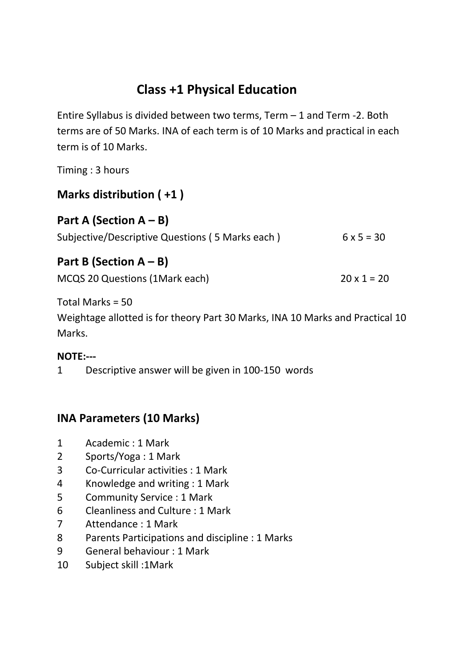# **Class +1 Physical Education**

Entire Syllabus is divided between two terms, Term – 1 and Term -2. Both terms are of 50 Marks. INA of each term is of 10 Marks and practical in each term is of 10 Marks.

Timing : 3 hours

## **Marks distribution ( +1 )**

| Part A (Section $A - B$ )                       |                   |
|-------------------------------------------------|-------------------|
| Subjective/Descriptive Questions (5 Marks each) | $6 \times 5 = 30$ |

### **Part B (Section A – B)**

MCQS 20 Questions (1Mark each)  $20 \times 1 = 20$ 

Total Marks = 50

Weightage allotted is for theory Part 30 Marks, INA 10 Marks and Practical 10 Marks.

#### **NOTE:---**

1 Descriptive answer will be given in 100-150 words

## **INA Parameters (10 Marks)**

- 1 Academic : 1 Mark
- 2 Sports/Yoga : 1 Mark
- 3 Co-Curricular activities : 1 Mark
- 4 Knowledge and writing : 1 Mark
- 5 Community Service : 1 Mark
- 6 Cleanliness and Culture : 1 Mark
- 7 Attendance : 1 Mark
- 8 Parents Participations and discipline : 1 Marks
- 9 General behaviour : 1 Mark
- 10 Subject skill :1Mark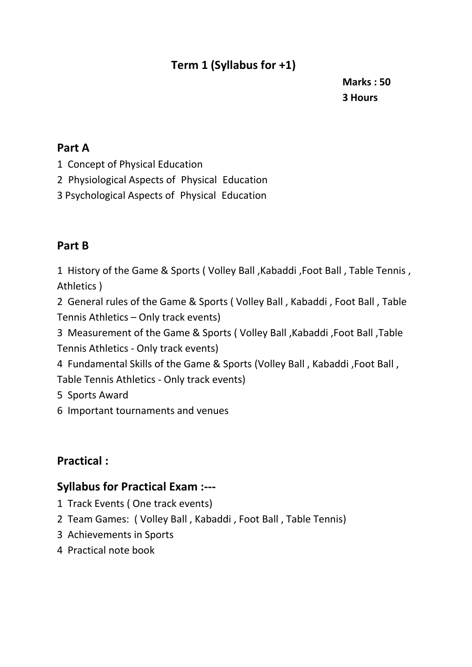# **Term 1 (Syllabus for +1)**

**Marks : 50 3 Hours 3 Hours** 

#### **Part A**

- 1 Concept of Physical Education
- 2 Physiological Aspects of Physical Education
- 3 Psychological Aspects of Physical Education

### **Part B**

1 History of the Game & Sports ( Volley Ball ,Kabaddi ,Foot Ball , Table Tennis , Athletics )

2 General rules of the Game & Sports ( Volley Ball , Kabaddi , Foot Ball , Table Tennis Athletics – Only track events)

3 Measurement of the Game & Sports ( Volley Ball ,Kabaddi ,Foot Ball ,Table Tennis Athletics - Only track events)

4 Fundamental Skills of the Game & Sports (Volley Ball , Kabaddi ,Foot Ball , Table Tennis Athletics - Only track events)

5 Sports Award

6 Important tournaments and venues

## **Practical :**

#### **Syllabus for Practical Exam :---**

- 1 Track Events ( One track events)
- 2 Team Games: ( Volley Ball , Kabaddi , Foot Ball , Table Tennis)
- 3 Achievements in Sports
- 4 Practical note book